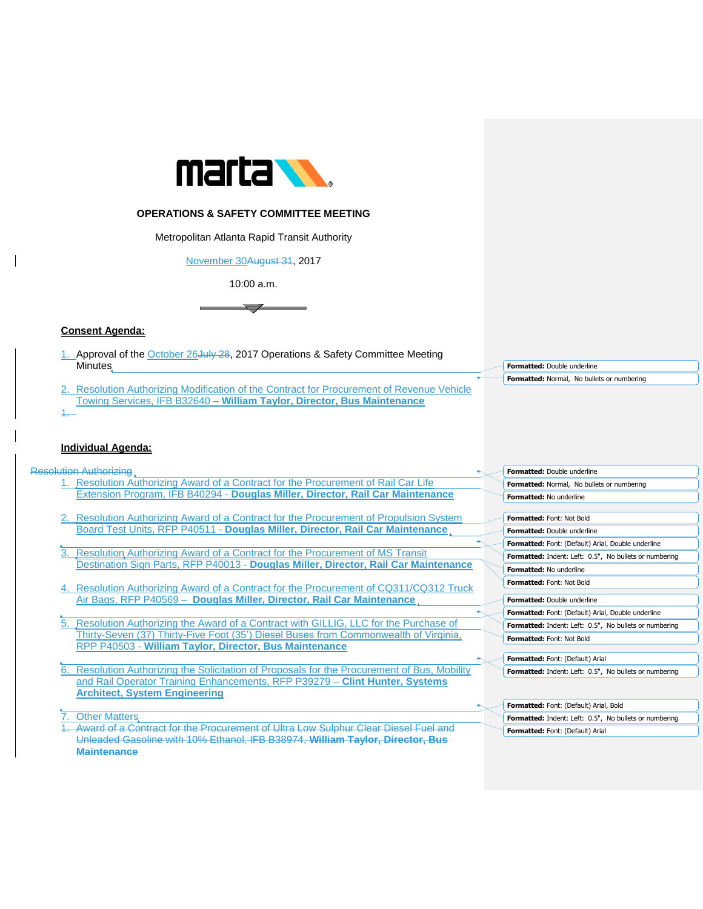

## **OPERATIONS & SAFETY COMMITTEE MEETING**

Metropolitan Atlanta Rapid Transit Authority

November 30August 31, 2017

10:00 a.m.



## **Consent Agenda:**

- 1. Approval of the October 26 July 28, 2017 Operations & Safety Committee Meeting **Minutes**
- **Resolution Authorizing Modification of the Contract for Procurement of Revenue Vehicle** Towing Services, IFB B32640 – **William Taylor, Director, Bus Maintenance**  1.

## **Individual Agenda:**

Resolution Authorizing

- 1. Resolution Authorizing Award of a Contract for the Procurement of Rail Car Life Extension Program, IFB B40294 - **Douglas Miller, Director, Rail Car Maintenance**
- 2. Resolution Authorizing Award of a Contract for the Procurement of Propulsion System Board Test Units, RFP P40511 - **Douglas Miller, Director, Rail Car Maintenance**
- 3. Resolution Authorizing Award of a Contract for the Procurement of MS Transit Destination Sign Parts, RFP P40013 - **Douglas Miller, Director, Rail Car Maintenance**
- 4. Resolution Authorizing Award of a Contract for the Procurement of CQ311/CQ312 Truck Air Bags, RFP P40569 – **Douglas Miller, Director, Rail Car Maintenance**
- 5. Resolution Authorizing the Award of a Contract with GILLIG, LLC for the Purchase of Thirty-Seven (37) Thirty-Five Foot (35') Diesel Buses from Commonwealth of Virginia, RPP P40503 - **William Taylor, Director, Bus Maintenance**
- 6. Resolution Authorizing the Solicitation of Proposals for the Procurement of Bus, Mobility and Rail Operator Training Enhancements, RFP P39279 – **Clint Hunter, Systems Architect, System Engineering**

**Other Matters** 

1. Award of a Contract for the Procurement of Ultra Low Sulphur Clear Diesel Fuel and Unleaded Gasoline with 10% Ethanol, IFB B38974, **William Taylor, Director, Bus Maintenance**

**Formatted:** Double underline **Formatted:** Normal, No bullets or numbering

|                                | Formatted: Double underline                                   |
|--------------------------------|---------------------------------------------------------------|
|                                | <b>Formatted:</b> Normal, No bullets or numbering             |
| <b>Formatted: No underline</b> |                                                               |
|                                |                                                               |
|                                | Formatted: Font: Not Bold                                     |
|                                | <b>Formatted: Double underline</b>                            |
|                                | <b>Formatted:</b> Font: (Default) Arial, Double underline     |
|                                | <b>Formatted:</b> Indent: Left: 0.5", No bullets or numbering |
| Formatted: No underline        |                                                               |
|                                | <b>Formatted: Font: Not Bold</b>                              |
|                                | Formatted: Double underline                                   |
|                                | <b>Formatted:</b> Font: (Default) Arial, Double underline     |
|                                | <b>Formatted:</b> Indent: Left: 0.5", No bullets or numbering |
|                                | <b>Formatted: Font: Not Bold</b>                              |
|                                |                                                               |
|                                | <b>Formatted:</b> Font: (Default) Arial                       |
|                                | Formatted: Indent: Left: 0.5", No bullets or numbering        |

| Formatted: Font: (Default) Arial, Bold                 |
|--------------------------------------------------------|
| Formatted: Indent: Left: 0.5", No bullets or numbering |
| Formatted: Font: (Default) Arial                       |